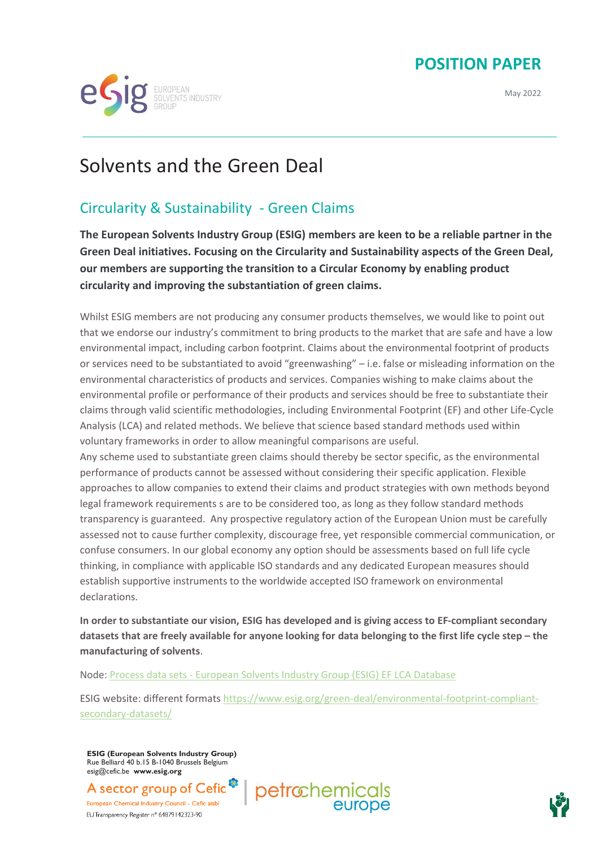## **POSITION PAPER**

May 2022



## Solvents and the Green Deal

## Circularity & Sustainability - Green Claims

**The European Solvents Industry Group (ESIG) members are keen to be a reliable partner in the Green Deal initiatives. Focusing on the Circularity and Sustainability aspects of the Green Deal, our members are supporting the transition to a Circular Economy by enabling product circularity and improving the substantiation of green claims.** 

Whilst ESIG members are not producing any consumer products themselves, we would like to point out that we endorse our industry's commitment to bring products to the market that are safe and have a low environmental impact, including carbon footprint. Claims about the environmental footprint of products or services need to be substantiated to avoid "greenwashing" – i.e. false or misleading information on the environmental characteristics of products and services. Companies wishing to make claims about the environmental profile or performance of their products and services should be free to substantiate their claims through valid scientific methodologies, including Environmental Footprint (EF) and other Life-Cycle Analysis (LCA) and related methods. We believe that science based standard methods used within voluntary frameworks in order to allow meaningful comparisons are useful.

Any scheme used to substantiate green claims should thereby be sector specific, as the environmental performance of products cannot be assessed without considering their specific application. Flexible approaches to allow companies to extend their claims and product strategies with own methods beyond legal framework requirements s are to be considered too, as long as they follow standard methods transparency is guaranteed. Any prospective regulatory action of the European Union must be carefully assessed not to cause further complexity, discourage free, yet responsible commercial communication, or confuse consumers. In our global economy any option should be assessments based on full life cycle thinking, in compliance with applicable ISO standards and any dedicated European measures should establish supportive instruments to the worldwide accepted ISO framework on environmental declarations.

**In order to substantiate our vision, ESIG has developed and is giving access to EF-compliant secondary datasets that are freely available for anyone looking for data belonging to the first life cycle step – the manufacturing of solvents**.

Node: Process data sets - [European Solvents Industry Group \(ESIG\) EF LCA Database](https://data.esig.org/processList.xhtml?stock=EF_SOLVENTS)

ESIG website: different formats [https://www.esig.org/green-deal/environmental-footprint-compliant](https://www.esig.org/green-deal/environmental-footprint-compliant-secondary-datasets/)[secondary-datasets/](https://www.esig.org/green-deal/environmental-footprint-compliant-secondary-datasets/)

**ESIG (European Solvents Industry Group)** Rue Belliard 40 b.15 B-1040 Brussels Belgium esig@cefic.be **www.esig.org**

petrochemic A sector group of Cefic European Chemical Industry Council - Cefic aisbl EU Transparency Register n° 64879142323-90